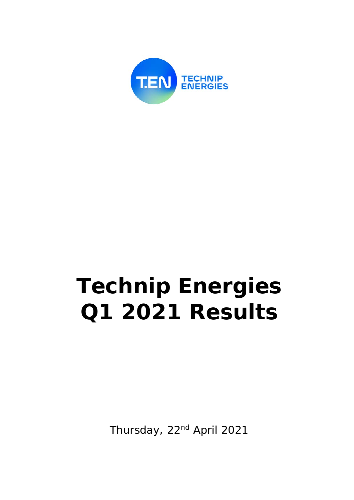

# **Technip Energies Q1 2021 Results**

Thursday, 22<sup>nd</sup> April 2021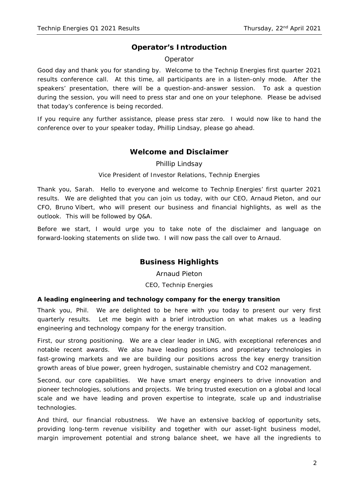# **Operator's Introduction**

# Operator

Good day and thank you for standing by. Welcome to the Technip Energies first quarter 2021 results conference call. At this time, all participants are in a listen-only mode. After the speakers' presentation, there will be a question-and-answer session. To ask a question during the session, you will need to press star and one on your telephone. Please be advised that today's conference is being recorded.

If you require any further assistance, please press star zero. I would now like to hand the conference over to your speaker today, Phillip Lindsay, please go ahead.

# **Welcome and Disclaimer**

Phillip Lindsay

#### *Vice President of Investor Relations, Technip Energies*

Thank you, Sarah. Hello to everyone and welcome to Technip Energies' first quarter 2021 results. We are delighted that you can join us today, with our CEO, Arnaud Pieton, and our CFO, Bruno Vibert, who will present our business and financial highlights, as well as the outlook. This will be followed by Q&A.

Before we start, I would urge you to take note of the disclaimer and language on forward-looking statements on slide two. I will now pass the call over to Arnaud.

# **Business Highlights**

Arnaud Pieton

*CEO, Technip Energies*

#### **A leading engineering and technology company for the energy transition**

Thank you, Phil. We are delighted to be here with you today to present our very first quarterly results. Let me begin with a brief introduction on what makes us a leading engineering and technology company for the energy transition.

First, our strong positioning. We are a clear leader in LNG, with exceptional references and notable recent awards. We also have leading positions and proprietary technologies in fast-growing markets and we are building our positions across the key energy transition growth areas of blue power, green hydrogen, sustainable chemistry and CO2 management.

Second, our core capabilities. We have smart energy engineers to drive innovation and pioneer technologies, solutions and projects. We bring trusted execution on a global and local scale and we have leading and proven expertise to integrate, scale up and industrialise technologies.

And third, our financial robustness. We have an extensive backlog of opportunity sets, providing long-term revenue visibility and together with our asset-light business model, margin improvement potential and strong balance sheet, we have all the ingredients to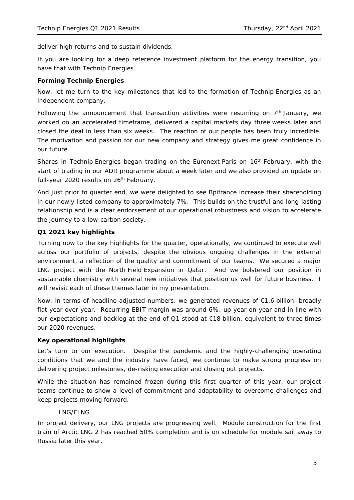deliver high returns and to sustain dividends.

If you are looking for a deep reference investment platform for the energy transition, you have that with Technip Energies.

#### **Forming Technip Energies**

Now, let me turn to the key milestones that led to the formation of Technip Energies as an independent company.

Following the announcement that transaction activities were resuming on  $7<sup>th</sup>$  January, we worked on an accelerated timeframe, delivered a capital markets day three weeks later and closed the deal in less than six weeks. The reaction of our people has been truly incredible. The motivation and passion for our new company and strategy gives me great confidence in our future.

Shares in Technip Energies began trading on the Euronext Paris on  $16<sup>th</sup>$  February, with the start of trading in our ADR programme about a week later and we also provided an update on full-year 2020 results on 26<sup>th</sup> February.

And just prior to quarter end, we were delighted to see Bpifrance increase their shareholding in our newly listed company to approximately 7%. This builds on the trustful and long-lasting relationship and is a clear endorsement of our operational robustness and vision to accelerate the journey to a low-carbon society.

#### **Q1 2021 key highlights**

Turning now to the key highlights for the quarter, operationally, we continued to execute well across our portfolio of projects, despite the obvious ongoing challenges in the external environment, a reflection of the quality and commitment of our teams. We secured a major LNG project with the North Field Expansion in Qatar. And we bolstered our position in sustainable chemistry with several new initiatives that position us well for future business. I will revisit each of these themes later in my presentation.

Now, in terms of headline adjusted numbers, we generated revenues of €1.6 billion, broadly flat year over year. Recurring EBIT margin was around 6%, up year on year and in line with our expectations and backlog at the end of Q1 stood at €18 billion, equivalent to three times our 2020 revenues.

#### **Key operational highlights**

Let's turn to our execution. Despite the pandemic and the highly-challenging operating conditions that we and the industry have faced, we continue to make strong progress on delivering project milestones, de-risking execution and closing out projects.

While the situation has remained frozen during this first quarter of this year, our project teams continue to show a level of commitment and adaptability to overcome challenges and keep projects moving forward.

#### *LNG/FLNG*

In project delivery, our LNG projects are progressing well. Module construction for the first train of Arctic LNG 2 has reached 50% completion and is on schedule for module sail away to Russia later this year.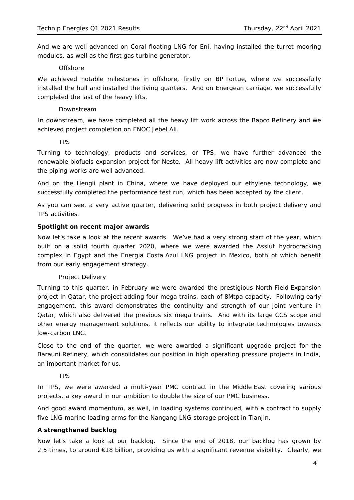And we are well advanced on Coral floating LNG for Eni, having installed the turret mooring modules, as well as the first gas turbine generator.

#### *Offshore*

We achieved notable milestones in offshore, firstly on BP Tortue, where we successfully installed the hull and installed the living quarters. And on Energean carriage, we successfully completed the last of the heavy lifts.

#### *Downstream*

In downstream, we have completed all the heavy lift work across the Bapco Refinery and we achieved project completion on ENOC Jebel Ali.

#### *TPS*

Turning to technology, products and services, or TPS, we have further advanced the renewable biofuels expansion project for Neste. All heavy lift activities are now complete and the piping works are well advanced.

And on the Hengli plant in China, where we have deployed our ethylene technology, we successfully completed the performance test run, which has been accepted by the client.

As you can see, a very active quarter, delivering solid progress in both project delivery and TPS activities.

#### **Spotlight on recent major awards**

Now let's take a look at the recent awards. We've had a very strong start of the year, which built on a solid fourth quarter 2020, where we were awarded the Assiut hydrocracking complex in Egypt and the Energia Costa Azul LNG project in Mexico, both of which benefit from our early engagement strategy.

#### *Project Delivery*

Turning to this quarter, in February we were awarded the prestigious North Field Expansion project in Qatar, the project adding four mega trains, each of 8Mtpa capacity. Following early engagement, this award demonstrates the continuity and strength of our joint venture in Qatar, which also delivered the previous six mega trains. And with its large CCS scope and other energy management solutions, it reflects our ability to integrate technologies towards low-carbon LNG.

Close to the end of the quarter, we were awarded a significant upgrade project for the Barauni Refinery, which consolidates our position in high operating pressure projects in India, an important market for us.

#### *TPS*

In TPS, we were awarded a multi-year PMC contract in the Middle East covering various projects, a key award in our ambition to double the size of our PMC business.

And good award momentum, as well, in loading systems continued, with a contract to supply five LNG marine loading arms for the Nangang LNG storage project in Tianjin.

#### **A strengthened backlog**

Now let's take a look at our backlog. Since the end of 2018, our backlog has grown by 2.5 times, to around €18 billion, providing us with a significant revenue visibility. Clearly, we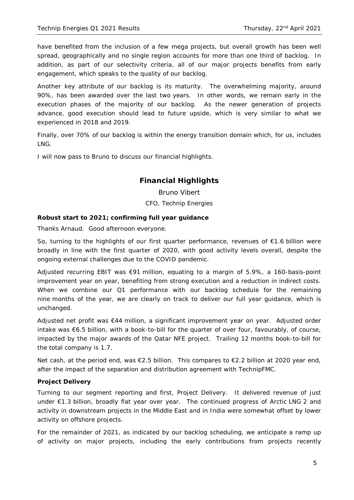have benefited from the inclusion of a few mega projects, but overall growth has been well spread, geographically and no single region accounts for more than one third of backlog. In addition, as part of our selectivity criteria, all of our major projects benefits from early engagement, which speaks to the quality of our backlog.

Another key attribute of our backlog is its maturity. The overwhelming majority, around 90%, has been awarded over the last two years. In other words, we remain early in the execution phases of the majority of our backlog. As the newer generation of projects advance, good execution should lead to future upside, which is very similar to what we experienced in 2018 and 2019.

Finally, over 70% of our backlog is within the energy transition domain which, for us, includes LNG.

I will now pass to Bruno to discuss our financial highlights.

# **Financial Highlights**

Bruno Vibert

*CFO, Technip Energies*

# **Robust start to 2021; confirming full year guidance**

Thanks Arnaud. Good afternoon everyone.

So, turning to the highlights of our first quarter performance, revenues of  $\epsilon$ 1.6 billion were broadly in line with the first quarter of 2020, with good activity levels overall, despite the ongoing external challenges due to the COVID pandemic.

Adjusted recurring EBIT was  $\epsilon$ 91 million, equating to a margin of 5.9%, a 160-basis-point improvement year on year, benefiting from strong execution and a reduction in indirect costs. When we combine our Q1 performance with our backlog schedule for the remaining nine months of the year, we are clearly on track to deliver our full year guidance, which is unchanged.

Adjusted net profit was €44 million, a significant improvement year on year. Adjusted order intake was €6.5 billion, with a book-to-bill for the quarter of over four, favourably, of course, impacted by the major awards of the Qatar NFE project. Trailing 12 months book-to-bill for the total company is 1.7.

Net cash, at the period end, was €2.5 billion. This compares to €2.2 billion at 2020 year end, after the impact of the separation and distribution agreement with TechnipFMC.

# **Project Delivery**

Turning to our segment reporting and first, Project Delivery. It delivered revenue of just under €1.3 billion, broadly flat year over year. The continued progress of Arctic LNG 2 and activity in downstream projects in the Middle East and in India were somewhat offset by lower activity on offshore projects.

For the remainder of 2021, as indicated by our backlog scheduling, we anticipate a ramp up of activity on major projects, including the early contributions from projects recently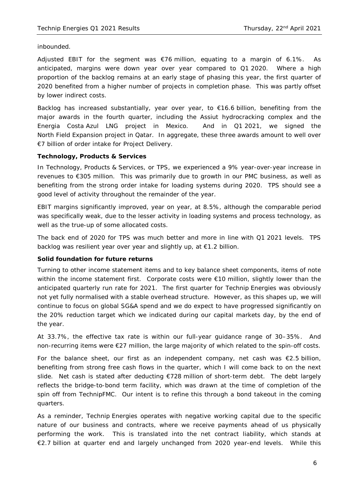inbounded.

Adjusted EBIT for the segment was €76 million, equating to a margin of 6.1%. As anticipated, margins were down year over year compared to Q1 2020. Where a high proportion of the backlog remains at an early stage of phasing this year, the first quarter of 2020 benefited from a higher number of projects in completion phase. This was partly offset by lower indirect costs.

Backlog has increased substantially, year over year, to €16.6 billion, benefiting from the major awards in the fourth quarter, including the Assiut hydrocracking complex and the Energia Costa Azul LNG project in Mexico. And in Q1 2021, we signed the North Field Expansion project in Qatar. In aggregate, these three awards amount to well over €7 billion of order intake for Project Delivery.

#### **Technology, Products & Services**

In Technology, Products & Services, or TPS, we experienced a 9% year-over-year increase in revenues to €305 million. This was primarily due to growth in our PMC business, as well as benefiting from the strong order intake for loading systems during 2020. TPS should see a good level of activity throughout the remainder of the year.

EBIT margins significantly improved, year on year, at 8.5%, although the comparable period was specifically weak, due to the lesser activity in loading systems and process technology, as well as the true-up of some allocated costs.

The back end of 2020 for TPS was much better and more in line with Q1 2021 levels. TPS backlog was resilient year over year and slightly up, at €1.2 billion.

#### **Solid foundation for future returns**

Turning to other income statement items and to key balance sheet components, items of note within the income statement first. Corporate costs were €10 million, slightly lower than the anticipated quarterly run rate for 2021. The first quarter for Technip Energies was obviously not yet fully normalised with a stable overhead structure. However, as this shapes up, we will continue to focus on global SG&A spend and we do expect to have progressed significantly on the 20% reduction target which we indicated during our capital markets day, by the end of the year.

At 33.7%, the effective tax rate is within our full-year guidance range of 30–35%. And non-recurring items were €27 million, the large majority of which related to the spin-off costs.

For the balance sheet, our first as an independent company, net cash was  $\epsilon$ 2.5 billion, benefiting from strong free cash flows in the quarter, which I will come back to on the next slide. Net cash is stated after deducting €728 million of short-term debt. The debt largely reflects the bridge-to-bond term facility, which was drawn at the time of completion of the spin off from TechnipFMC. Our intent is to refine this through a bond takeout in the coming quarters.

As a reminder, Technip Energies operates with negative working capital due to the specific nature of our business and contracts, where we receive payments ahead of us physically performing the work. This is translated into the net contract liability, which stands at €2.7 billion at quarter end and largely unchanged from 2020 year-end levels. While this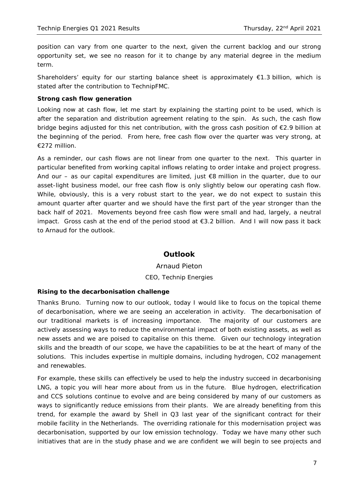position can vary from one quarter to the next, given the current backlog and our strong opportunity set, we see no reason for it to change by any material degree in the medium term.

Shareholders' equity for our starting balance sheet is approximately  $\epsilon$ 1.3 billion, which is stated after the contribution to TechnipFMC.

#### **Strong cash flow generation**

Looking now at cash flow, let me start by explaining the starting point to be used, which is after the separation and distribution agreement relating to the spin. As such, the cash flow bridge begins adjusted for this net contribution, with the gross cash position of €2.9 billion at the beginning of the period. From here, free cash flow over the quarter was very strong, at €272 million.

As a reminder, our cash flows are not linear from one quarter to the next. This quarter in particular benefited from working capital inflows relating to order intake and project progress. And our – as our capital expenditures are limited, just  $\epsilon$ 8 million in the quarter, due to our asset-light business model, our free cash flow is only slightly below our operating cash flow. While, obviously, this is a very robust start to the year, we do not expect to sustain this amount quarter after quarter and we should have the first part of the year stronger than the back half of 2021. Movements beyond free cash flow were small and had, largely, a neutral impact. Gross cash at the end of the period stood at €3.2 billion. And I will now pass it back to Arnaud for the outlook.

# **Outlook**

# Arnaud Pieton *CEO, Technip Energies*

#### **Rising to the decarbonisation challenge**

Thanks Bruno. Turning now to our outlook, today I would like to focus on the topical theme of decarbonisation, where we are seeing an acceleration in activity. The decarbonisation of our traditional markets is of increasing importance. The majority of our customers are actively assessing ways to reduce the environmental impact of both existing assets, as well as new assets and we are poised to capitalise on this theme. Given our technology integration skills and the breadth of our scope, we have the capabilities to be at the heart of many of the solutions. This includes expertise in multiple domains, including hydrogen, CO2 management and renewables.

For example, these skills can effectively be used to help the industry succeed in decarbonising LNG, a topic you will hear more about from us in the future. Blue hydrogen, electrification and CCS solutions continue to evolve and are being considered by many of our customers as ways to significantly reduce emissions from their plants. We are already benefiting from this trend, for example the award by Shell in Q3 last year of the significant contract for their mobile facility in the Netherlands. The overriding rationale for this modernisation project was decarbonisation, supported by our low emission technology. Today we have many other such initiatives that are in the study phase and we are confident we will begin to see projects and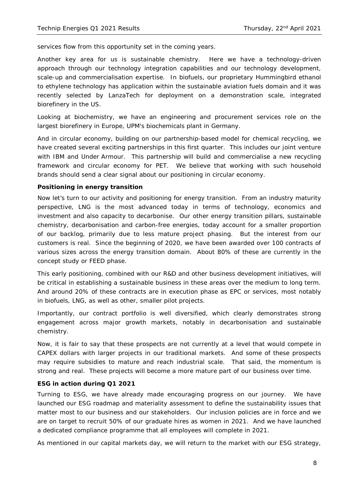services flow from this opportunity set in the coming years.

Another key area for us is sustainable chemistry. Here we have a technology-driven approach through our technology integration capabilities and our technology development, scale-up and commercialisation expertise. In biofuels, our proprietary Hummingbird ethanol to ethylene technology has application within the sustainable aviation fuels domain and it was recently selected by LanzaTech for deployment on a demonstration scale, integrated biorefinery in the US.

Looking at biochemistry, we have an engineering and procurement services role on the largest biorefinery in Europe, UPM's biochemicals plant in Germany.

And in circular economy, building on our partnership-based model for chemical recycling, we have created several exciting partnerships in this first quarter. This includes our joint venture with IBM and Under Armour. This partnership will build and commercialise a new recycling framework and circular economy for PET. We believe that working with such household brands should send a clear signal about our positioning in circular economy.

#### **Positioning in energy transition**

Now let's turn to our activity and positioning for energy transition. From an industry maturity perspective, LNG is the most advanced today in terms of technology, economics and investment and also capacity to decarbonise. Our other energy transition pillars, sustainable chemistry, decarbonisation and carbon-free energies, today account for a smaller proportion of our backlog, primarily due to less mature project phasing. But the interest from our customers is real. Since the beginning of 2020, we have been awarded over 100 contracts of various sizes across the energy transition domain. About 80% of these are currently in the concept study or FEED phase.

This early positioning, combined with our R&D and other business development initiatives, will be critical in establishing a sustainable business in these areas over the medium to long term. And around 20% of these contracts are in execution phase as EPC or services, most notably in biofuels, LNG, as well as other, smaller pilot projects.

Importantly, our contract portfolio is well diversified, which clearly demonstrates strong engagement across major growth markets, notably in decarbonisation and sustainable chemistry.

Now, it is fair to say that these prospects are not currently at a level that would compete in CAPEX dollars with larger projects in our traditional markets. And some of these prospects may require subsidies to mature and reach industrial scale. That said, the momentum is strong and real. These projects will become a more mature part of our business over time.

#### **ESG in action during Q1 2021**

Turning to ESG, we have already made encouraging progress on our journey. We have launched our ESG roadmap and materiality assessment to define the sustainability issues that matter most to our business and our stakeholders. Our inclusion policies are in force and we are on target to recruit 50% of our graduate hires as women in 2021. And we have launched a dedicated compliance programme that all employees will complete in 2021.

As mentioned in our capital markets day, we will return to the market with our ESG strategy,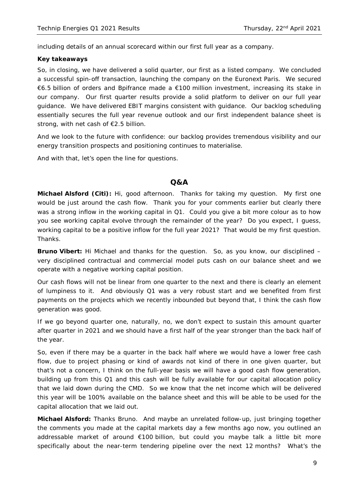including details of an annual scorecard within our first full year as a company.

#### **Key takeaways**

So, in closing, we have delivered a solid quarter, our first as a listed company. We concluded a successful spin-off transaction, launching the company on the Euronext Paris. We secured €6.5 billion of orders and Bpifrance made a €100 million investment, increasing its stake in our company. Our first quarter results provide a solid platform to deliver on our full year guidance. We have delivered EBIT margins consistent with guidance. Our backlog scheduling essentially secures the full year revenue outlook and our first independent balance sheet is strong, with net cash of €2.5 billion.

And we look to the future with confidence: our backlog provides tremendous visibility and our energy transition prospects and positioning continues to materialise.

And with that, let's open the line for questions.

# **Q&A**

**Michael Alsford (Citi):** Hi, good afternoon. Thanks for taking my question. My first one would be just around the cash flow. Thank you for your comments earlier but clearly there was a strong inflow in the working capital in Q1. Could you give a bit more colour as to how you see working capital evolve through the remainder of the year? Do you expect, I guess, working capital to be a positive inflow for the full year 2021? That would be my first question. **Thanks** 

**Bruno Vibert:** Hi Michael and thanks for the question. So, as you know, our disciplined – very disciplined contractual and commercial model puts cash on our balance sheet and we operate with a negative working capital position.

Our cash flows will not be linear from one quarter to the next and there is clearly an element of lumpiness to it. And obviously Q1 was a very robust start and we benefited from first payments on the projects which we recently inbounded but beyond that, I think the cash flow generation was good.

If we go beyond quarter one, naturally, no, we don't expect to sustain this amount quarter after quarter in 2021 and we should have a first half of the year stronger than the back half of the year.

So, even if there may be a quarter in the back half where we would have a lower free cash flow, due to project phasing or kind of awards not kind of there in one given quarter, but that's not a concern, I think on the full-year basis we will have a good cash flow generation, building up from this Q1 and this cash will be fully available for our capital allocation policy that we laid down during the CMD. So we know that the net income which will be delivered this year will be 100% available on the balance sheet and this will be able to be used for the capital allocation that we laid out.

**Michael Alsford:** Thanks Bruno. And maybe an unrelated follow-up, just bringing together the comments you made at the capital markets day a few months ago now, you outlined an addressable market of around €100 billion, but could you maybe talk a little bit more specifically about the near-term tendering pipeline over the next 12 months? What's the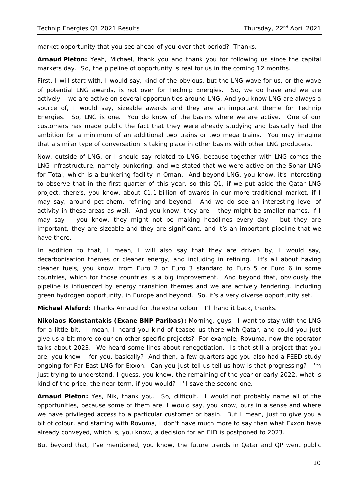market opportunity that you see ahead of you over that period? Thanks.

**Arnaud Pieton:** Yeah, Michael, thank you and thank you for following us since the capital markets day. So, the pipeline of opportunity is real for us in the coming 12 months.

First, I will start with, I would say, kind of the obvious, but the LNG wave for us, or the wave of potential LNG awards, is not over for Technip Energies. So, we do have and we are actively – we are active on several opportunities around LNG. And you know LNG are always a source of, I would say, sizeable awards and they are an important theme for Technip Energies. So, LNG is one. You do know of the basins where we are active. One of our customers has made public the fact that they were already studying and basically had the ambition for a minimum of an additional two trains or two mega trains. You may imagine that a similar type of conversation is taking place in other basins with other LNG producers.

Now, outside of LNG, or I should say related to LNG, because together with LNG comes the LNG infrastructure, namely bunkering, and we stated that we were active on the Sohar LNG for Total, which is a bunkering facility in Oman. And beyond LNG, you know, it's interesting to observe that in the first quarter of this year, so this Q1, if we put aside the Qatar LNG project, there's, you know, about €1.1 billion of awards in our more traditional market, if I may say, around pet-chem, refining and beyond. And we do see an interesting level of activity in these areas as well. And you know, they are – they might be smaller names, if I may say – you know, they might not be making headlines every day – but they are important, they are sizeable and they are significant, and it's an important pipeline that we have there.

In addition to that, I mean, I will also say that they are driven by, I would say, decarbonisation themes or cleaner energy, and including in refining. It's all about having cleaner fuels, you know, from Euro 2 or Euro 3 standard to Euro 5 or Euro 6 in some countries, which for those countries is a big improvement. And beyond that, obviously the pipeline is influenced by energy transition themes and we are actively tendering, including green hydrogen opportunity, in Europe and beyond. So, it's a very diverse opportunity set.

**Michael Alsford:** Thanks Arnaud for the extra colour. I'll hand it back, thanks.

**Nikolaos Konstantakis (Exane BNP Paribas):** Morning, guys. I want to stay with the LNG for a little bit. I mean, I heard you kind of teased us there with Qatar, and could you just give us a bit more colour on other specific projects? For example, Rovuma, now the operator talks about 2023. We heard some lines about renegotiation. Is that still a project that you are, you know – for you, basically? And then, a few quarters ago you also had a FEED study ongoing for Far East LNG for Exxon. Can you just tell us tell us how is that progressing? I'm just trying to understand, I guess, you know, the remaining of the year or early 2022, what is kind of the price, the near term, if you would? I'll save the second one.

**Arnaud Pieton:** Yes, Nik, thank you. So, difficult. I would not probably name all of the opportunities, because some of them are, I would say, you know, ours in a sense and where we have privileged access to a particular customer or basin. But I mean, just to give you a bit of colour, and starting with Rovuma, I don't have much more to say than what Exxon have already conveyed, which is, you know, a decision for an FID is postponed to 2023.

But beyond that, I've mentioned, you know, the future trends in Qatar and QP went public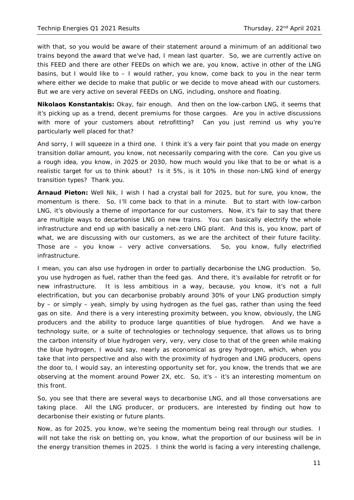with that, so you would be aware of their statement around a minimum of an additional two trains beyond the award that we've had, I mean last quarter. So, we are currently active on this FEED and there are other FEEDs on which we are, you know, active in other of the LNG basins, but I would like to – I would rather, you know, come back to you in the near term where either we decide to make that public or we decide to move ahead with our customers. But we are very active on several FEEDs on LNG, including, onshore and floating.

**Nikolaos Konstantakis:** Okay, fair enough. And then on the low-carbon LNG, it seems that it's picking up as a trend, decent premiums for those cargoes. Are you in active discussions with more of your customers about retrofitting? Can you just remind us why you're particularly well placed for that?

And sorry, I will squeeze in a third one. I think it's a very fair point that you made on energy transition dollar amount, you know, not necessarily comparing with the core. Can you give us a rough idea, you know, in 2025 or 2030, how much would you like that to be or what is a realistic target for us to think about? Is it 5%, is it 10% in those non-LNG kind of energy transition types? Thank you.

**Arnaud Pieton:** Well Nik, I wish I had a crystal ball for 2025, but for sure, you know, the momentum is there. So, I'll come back to that in a minute. But to start with low-carbon LNG, it's obviously a theme of importance for our customers. Now, it's fair to say that there are multiple ways to decarbonise LNG on new trains. You can basically electrify the whole infrastructure and end up with basically a net-zero LNG plant. And this is, you know, part of what, we are discussing with our customers, as we are the architect of their future facility. Those are – you know – very active conversations. So, you know, fully electrified infrastructure.

I mean, you can also use hydrogen in order to partially decarbonise the LNG production. So, you use hydrogen as fuel, rather than the feed gas. And there, it's available for retrofit or for new infrastructure. It is less ambitious in a way, because, you know, it's not a full electrification, but you can decarbonise probably around 30% of your LNG production simply by – or simply – yeah, simply by using hydrogen as the fuel gas, rather than using the feed gas on site. And there is a very interesting proximity between, you know, obviously, the LNG producers and the ability to produce large quantities of blue hydrogen. And we have a technology suite, or a suite of technologies or technology sequence, that allows us to bring the carbon intensity of blue hydrogen very, very, very close to that of the green while making the blue hydrogen, I would say, nearly as economical as grey hydrogen, which, when you take that into perspective and also with the proximity of hydrogen and LNG producers, opens the door to, I would say, an interesting opportunity set for, you know, the trends that we are observing at the moment around Power 2X, etc. So, it's – it's an interesting momentum on this front.

So, you see that there are several ways to decarbonise LNG, and all those conversations are taking place. All the LNG producer, or producers, are interested by finding out how to decarbonise their existing or future plants.

Now, as for 2025, you know, we're seeing the momentum being real through our studies. I will not take the risk on betting on, you know, what the proportion of our business will be in the energy transition themes in 2025. I think the world is facing a very interesting challenge,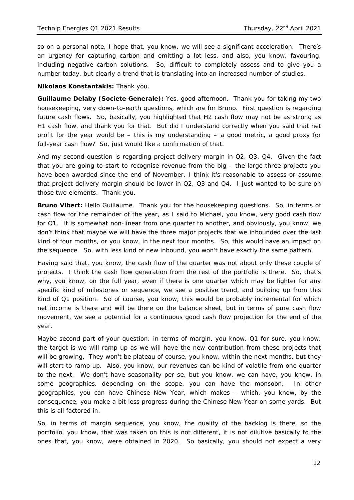so on a personal note, I hope that, you know, we will see a significant acceleration. There's an urgency for capturing carbon and emitting a lot less, and also, you know, favouring, including negative carbon solutions. So, difficult to completely assess and to give you a number today, but clearly a trend that is translating into an increased number of studies.

#### **Nikolaos Konstantakis:** Thank you.

**Guillaume Delaby (Societe Generale):** Yes, good afternoon. Thank you for taking my two housekeeping, very down-to-earth questions, which are for Bruno. First question is regarding future cash flows. So, basically, you highlighted that H2 cash flow may not be as strong as H1 cash flow, and thank you for that. But did I understand correctly when you said that net profit for the year would be – this is my understanding – a good metric, a good proxy for full-year cash flow? So, just would like a confirmation of that.

And my second question is regarding project delivery margin in Q2, Q3, Q4. Given the fact that you are going to start to recognise revenue from the big – the large three projects you have been awarded since the end of November, I think it's reasonable to assess or assume that project delivery margin should be lower in Q2, Q3 and Q4. I just wanted to be sure on those two elements. Thank you.

**Bruno Vibert:** Hello Guillaume. Thank you for the housekeeping questions. So, in terms of cash flow for the remainder of the year, as I said to Michael, you know, very good cash flow for Q1. It is somewhat non-linear from one quarter to another, and obviously, you know, we don't think that maybe we will have the three major projects that we inbounded over the last kind of four months, or you know, in the next four months. So, this would have an impact on the sequence. So, with less kind of new inbound, you won't have exactly the same pattern.

Having said that, you know, the cash flow of the quarter was not about only these couple of projects. I think the cash flow generation from the rest of the portfolio is there. So, that's why, you know, on the full year, even if there is one quarter which may be lighter for any specific kind of milestones or sequence, we see a positive trend, and building up from this kind of Q1 position. So of course, you know, this would be probably incremental for which net income is there and will be there on the balance sheet, but in terms of pure cash flow movement, we see a potential for a continuous good cash flow projection for the end of the year.

Maybe second part of your question: in terms of margin, you know, Q1 for sure, you know, the target is we will ramp up as we will have the new contribution from these projects that will be growing. They won't be plateau of course, you know, within the next months, but they will start to ramp up. Also, you know, our revenues can be kind of volatile from one quarter to the next. We don't have seasonality per se, but you know, we can have, you know, in some geographies, depending on the scope, you can have the monsoon. In other geographies, you can have Chinese New Year, which makes – which, you know, by the consequence, you make a bit less progress during the Chinese New Year on some yards. But this is all factored in.

So, in terms of margin sequence, you know, the quality of the backlog is there, so the portfolio, you know, that was taken on this is not different, it is not dilutive basically to the ones that, you know, were obtained in 2020. So basically, you should not expect a very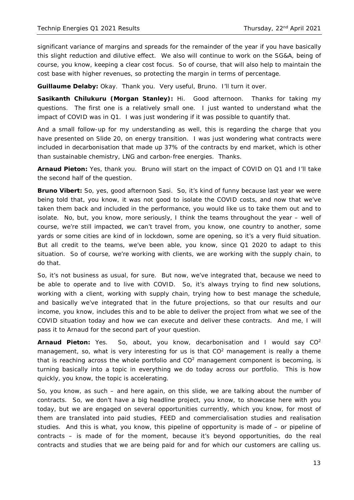significant variance of margins and spreads for the remainder of the year if you have basically this slight reduction and dilutive effect. We also will continue to work on the SG&A, being of course, you know, keeping a clear cost focus. So of course, that will also help to maintain the cost base with higher revenues, so protecting the margin in terms of percentage.

**Guillaume Delaby:** Okay. Thank you. Very useful, Bruno. I'll turn it over.

**Sasikanth Chilukuru (Morgan Stanley):** Hi. Good afternoon. Thanks for taking my questions. The first one is a relatively small one. I just wanted to understand what the impact of COVID was in Q1. I was just wondering if it was possible to quantify that.

And a small follow-up for my understanding as well, this is regarding the charge that you have presented on Slide 20, on energy transition. I was just wondering what contracts were included in decarbonisation that made up 37% of the contracts by end market, which is other than sustainable chemistry, LNG and carbon-free energies. Thanks.

**Arnaud Pieton:** Yes, thank you. Bruno will start on the impact of COVID on Q1 and I'll take the second half of the question.

**Bruno Vibert:** So, yes, good afternoon Sasi. So, it's kind of funny because last year we were being told that, you know, it was not good to isolate the COVID costs, and now that we've taken them back and included in the performance, you would like us to take them out and to isolate. No, but, you know, more seriously, I think the teams throughout the year – well of course, we're still impacted, we can't travel from, you know, one country to another, some yards or some cities are kind of in lockdown, some are opening, so it's a very fluid situation. But all credit to the teams, we've been able, you know, since Q1 2020 to adapt to this situation. So of course, we're working with clients, we are working with the supply chain, to do that.

So, it's not business as usual, for sure. But now, we've integrated that, because we need to be able to operate and to live with COVID. So, it's always trying to find new solutions, working with a client, working with supply chain, trying how to best manage the schedule, and basically we've integrated that in the future projections, so that our results and our income, you know, includes this and to be able to deliver the project from what we see of the COVID situation today and how we can execute and deliver these contracts. And me, I will pass it to Arnaud for the second part of your question.

**Arnaud Pieton:** Yes. So, about, you know, decarbonisation and I would say CO2 management, so, what is very interesting for us is that  $CO<sup>2</sup>$  management is really a theme that is reaching across the whole portfolio and  $CO<sup>2</sup>$  management component is becoming, is turning basically into a topic in everything we do today across our portfolio. This is how quickly, you know, the topic is accelerating.

So, you know, as such – and here again, on this slide, we are talking about the number of contracts. So, we don't have a big headline project, you know, to showcase here with you today, but we are engaged on several opportunities currently, which you know, for most of them are translated into paid studies, FEED and commercialisation studies and realisation studies. And this is what, you know, this pipeline of opportunity is made of – or pipeline of contracts – is made of for the moment, because it's beyond opportunities, do the real contracts and studies that we are being paid for and for which our customers are calling us.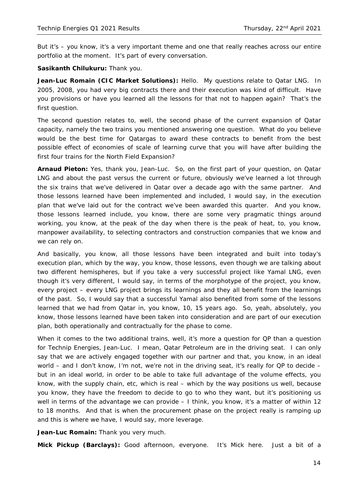But it's – you know, it's a very important theme and one that really reaches across our entire portfolio at the moment. It's part of every conversation.

**Sasikanth Chilukuru:** Thank you.

**Jean-Luc Romain (CIC Market Solutions):** Hello. My questions relate to Qatar LNG. In 2005, 2008, you had very big contracts there and their execution was kind of difficult. Have you provisions or have you learned all the lessons for that not to happen again? That's the first question.

The second question relates to, well, the second phase of the current expansion of Qatar capacity, namely the two trains you mentioned answering one question. What do you believe would be the best time for Qatargas to award these contracts to benefit from the best possible effect of economies of scale of learning curve that you will have after building the first four trains for the North Field Expansion?

**Arnaud Pieton:** Yes, thank you, Jean-Luc. So, on the first part of your question, on Qatar LNG and about the past versus the current or future, obviously we've learned a lot through the six trains that we've delivered in Qatar over a decade ago with the same partner. And those lessons learned have been implemented and included, I would say, in the execution plan that we've laid out for the contract we've been awarded this quarter. And you know, those lessons learned include, you know, there are some very pragmatic things around working, you know, at the peak of the day when there is the peak of heat, to, you know, manpower availability, to selecting contractors and construction companies that we know and we can rely on.

And basically, you know, all those lessons have been integrated and built into today's execution plan, which by the way, you know, those lessons, even though we are talking about two different hemispheres, but if you take a very successful project like Yamal LNG, even though it's very different, I would say, in terms of the morphotype of the project, you know, every project – every LNG project brings its learnings and they all benefit from the learnings of the past. So, I would say that a successful Yamal also benefited from some of the lessons learned that we had from Qatar in, you know, 10, 15 years ago. So, yeah, absolutely, you know, those lessons learned have been taken into consideration and are part of our execution plan, both operationally and contractually for the phase to come.

When it comes to the two additional trains, well, it's more a question for QP than a question for Technip Energies, Jean-Luc. I mean, Qatar Petroleum are in the driving seat. I can only say that we are actively engaged together with our partner and that, you know, in an ideal world – and I don't know, I'm not, we're not in the driving seat, it's really for QP to decide – but in an ideal world, in order to be able to take full advantage of the volume effects, you know, with the supply chain, etc, which is real – which by the way positions us well, because you know, they have the freedom to decide to go to who they want, but it's positioning us well in terms of the advantage we can provide – I think, you know, it's a matter of within 12 to 18 months. And that is when the procurement phase on the project really is ramping up and this is where we have, I would say, more leverage.

**Jean-Luc Romain:** Thank you very much.

**Mick Pickup (Barclays):** Good afternoon, everyone. It's Mick here. Just a bit of a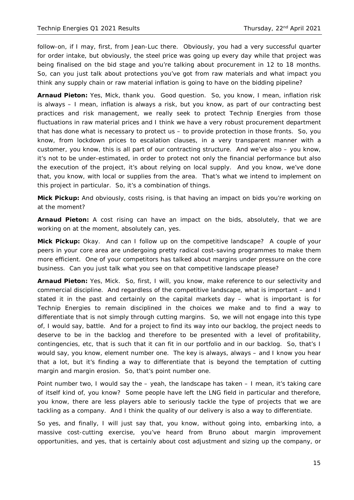follow-on, if I may, first, from Jean-Luc there. Obviously, you had a very successful quarter for order intake, but obviously, the steel price was going up every day while that project was being finalised on the bid stage and you're talking about procurement in 12 to 18 months. So, can you just talk about protections you've got from raw materials and what impact you think any supply chain or raw material inflation is going to have on the bidding pipeline?

**Arnaud Pieton:** Yes, Mick, thank you. Good question. So, you know, I mean, inflation risk is always – I mean, inflation is always a risk, but you know, as part of our contracting best practices and risk management, we really seek to protect Technip Energies from those fluctuations in raw material prices and I think we have a very robust procurement department that has done what is necessary to protect us – to provide protection in those fronts. So, you know, from lockdown prices to escalation clauses, in a very transparent manner with a customer, you know, this is all part of our contracting structure. And we've also – you know, it's not to be under-estimated, in order to protect not only the financial performance but also the execution of the project, it's about relying on local supply. And you know, we've done that, you know, with local or supplies from the area. That's what we intend to implement on this project in particular. So, it's a combination of things.

**Mick Pickup:** And obviously, costs rising, is that having an impact on bids you're working on at the moment?

**Arnaud Pieton:** A cost rising can have an impact on the bids, absolutely, that we are working on at the moment, absolutely can, yes.

**Mick Pickup:** Okay. And can I follow up on the competitive landscape? A couple of your peers in your core area are undergoing pretty radical cost-saving programmes to make them more efficient. One of your competitors has talked about margins under pressure on the core business. Can you just talk what you see on that competitive landscape please?

**Arnaud Pieton:** Yes, Mick. So, first, I will, you know, make reference to our selectivity and commercial discipline. And regardless of the competitive landscape, what is important – and I stated it in the past and certainly on the capital markets day – what is important is for Technip Energies to remain disciplined in the choices we make and to find a way to differentiate that is not simply through cutting margins. So, we will not engage into this type of, I would say, battle. And for a project to find its way into our backlog, the project needs to deserve to be in the backlog and therefore to be presented with a level of profitability, contingencies, etc, that is such that it can fit in our portfolio and in our backlog. So, that's I would say, you know, element number one. The key is always, always – and I know you hear that a lot, but it's finding a way to differentiate that is beyond the temptation of cutting margin and margin erosion. So, that's point number one.

Point number two, I would say the – yeah, the landscape has taken – I mean, it's taking care of itself kind of, you know? Some people have left the LNG field in particular and therefore, you know, there are less players able to seriously tackle the type of projects that we are tackling as a company. And I think the quality of our delivery is also a way to differentiate.

So yes, and finally, I will just say that, you know, without going into, embarking into, a massive cost-cutting exercise, you've heard from Bruno about margin improvement opportunities, and yes, that is certainly about cost adjustment and sizing up the company, or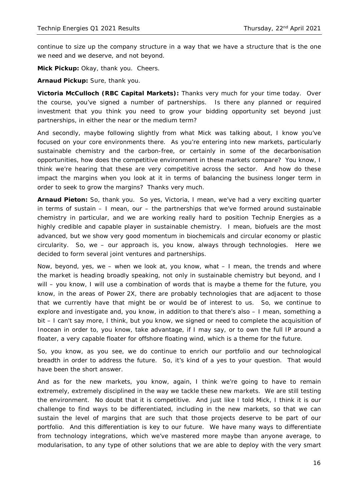continue to size up the company structure in a way that we have a structure that is the one we need and we deserve, and not beyond.

**Mick Pickup:** Okay, thank you. Cheers.

**Arnaud Pickup:** Sure, thank you.

**Victoria McCulloch (RBC Capital Markets):** Thanks very much for your time today. Over the course, you've signed a number of partnerships. Is there any planned or required investment that you think you need to grow your bidding opportunity set beyond just partnerships, in either the near or the medium term?

And secondly, maybe following slightly from what Mick was talking about, I know you've focused on your core environments there. As you're entering into new markets, particularly sustainable chemistry and the carbon-free, or certainly in some of the decarbonisation opportunities, how does the competitive environment in these markets compare? You know, I think we're hearing that these are very competitive across the sector. And how do these impact the margins when you look at it in terms of balancing the business longer term in order to seek to grow the margins? Thanks very much.

**Arnaud Pieton:** So, thank you. So yes, Victoria, I mean, we've had a very exciting quarter in terms of sustain  $-1$  mean, our  $-$  the partnerships that we've formed around sustainable chemistry in particular, and we are working really hard to position Technip Energies as a highly credible and capable player in sustainable chemistry. I mean, biofuels are the most advanced, but we show very good momentum in biochemicals and circular economy or plastic circularity. So, we – our approach is, you know, always through technologies. Here we decided to form several joint ventures and partnerships.

Now, beyond, yes, we  $-$  when we look at, you know, what  $-1$  mean, the trends and where the market is heading broadly speaking, not only in sustainable chemistry but beyond, and I will – you know, I will use a combination of words that is maybe a theme for the future, you know, in the areas of Power 2X, there are probably technologies that are adjacent to those that we currently have that might be or would be of interest to us. So, we continue to explore and investigate and, you know, in addition to that there's also – I mean, something a bit – I can't say more, I think, but you know, we signed or need to complete the acquisition of Inocean in order to, you know, take advantage, if I may say, or to own the full IP around a floater, a very capable floater for offshore floating wind, which is a theme for the future.

So, you know, as you see, we do continue to enrich our portfolio and our technological breadth in order to address the future. So, it's kind of a yes to your question. That would have been the short answer.

And as for the new markets, you know, again, I think we're going to have to remain extremely, extremely disciplined in the way we tackle these new markets. We are still testing the environment. No doubt that it is competitive. And just like I told Mick, I think it is our challenge to find ways to be differentiated, including in the new markets, so that we can sustain the level of margins that are such that those projects deserve to be part of our portfolio. And this differentiation is key to our future. We have many ways to differentiate from technology integrations, which we've mastered more maybe than anyone average, to modularisation, to any type of other solutions that we are able to deploy with the very smart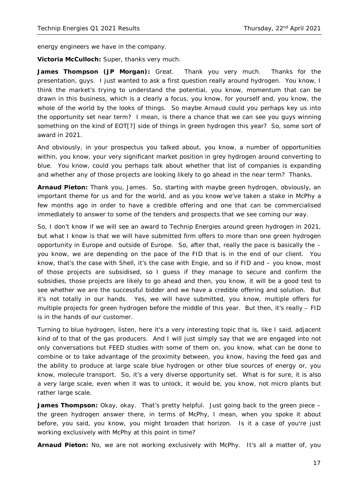energy engineers we have in the company.

**Victoria McCulloch:** Super, thanks very much.

**James Thompson (JP Morgan):** Great. Thank you very much. Thanks for the presentation, guys. I just wanted to ask a first question really around hydrogen. You know, I think the market's trying to understand the potential, you know, momentum that can be drawn in this business, which is a clearly a focus, you know, for yourself and, you know, the whole of the world by the looks of things. So maybe Arnaud could you perhaps key us into the opportunity set near term? I mean, is there a chance that we can see you guys winning something on the kind of EOT[?] side of things in green hydrogen this year? So, some sort of award in 2021.

And obviously, in your prospectus you talked about, you know, a number of opportunities within, you know, your very significant market position in grey hydrogen around converting to blue. You know, could you perhaps talk about whether that list of companies is expanding and whether any of those projects are looking likely to go ahead in the near term? Thanks.

**Arnaud Pieton:** Thank you, James. So, starting with maybe green hydrogen, obviously, an important theme for us and for the world, and as you know we've taken a stake in McPhy a few months ago in order to have a credible offering and one that can be commercialised immediately to answer to some of the tenders and prospects that we see coming our way.

So, I don't know if we will see an award to Technip Energies around green hydrogen in 2021, but what I know is that we will have submitted firm offers to more than one green hydrogen opportunity in Europe and outside of Europe. So, after that, really the pace is basically the – you know, we are depending on the pace of the FID that is in the end of our client. You know, that's the case with Shell, it's the case with Engie, and so if FID and – you know, most of those projects are subsidised, so I guess if they manage to secure and confirm the subsidies, those projects are likely to go ahead and then, you know, it will be a good test to see whether we are the successful bidder and we have a credible offering and solution. But it's not totally in our hands. Yes, we will have submitted, you know, multiple offers for multiple projects for green hydrogen before the middle of this year. But then, it's really – FID is in the hands of our customer.

Turning to blue hydrogen, listen, here it's a very interesting topic that is, like I said, adjacent kind of to that of the gas producers. And I will just simply say that we are engaged into not only conversations but FEED studies with some of them on, you know, what can be done to combine or to take advantage of the proximity between, you know, having the feed gas and the ability to produce at large scale blue hydrogen or other blue sources of energy or, you know, molecule transport. So, it's a very diverse opportunity set. What is for sure, it is also a very large scale, even when it was to unlock, it would be, you know, not micro plants but rather large scale.

James Thompson: Okay, okay. That's pretty helpful. Just going back to the green piece the green hydrogen answer there, in terms of McPhy, I mean, when you spoke it about before, you said, you know, you might broaden that horizon. Is it a case of you're just working exclusively with McPhy at this point in time?

**Arnaud Pieton:** No, we are not working exclusively with McPhy. It's all a matter of, you